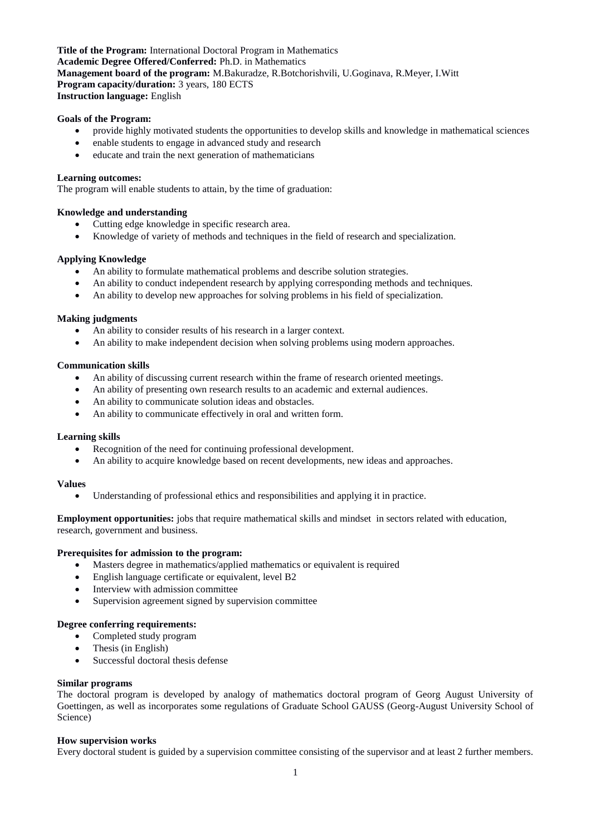**Title of the Program:** International Doctoral Program in Mathematics **Academic Degree Offered/Conferred:** Ph.D. in Mathematics **Management board of the program:** M.Bakuradze, R.Botchorishvili, U.Goginava, R.Meyer, I.Witt **Program capacity/duration:** 3 years, 180 ECTS **Instruction language:** English

## **Goals of the Program:**

- provide highly motivated students the opportunities to develop skills and knowledge in mathematical sciences
- enable students to engage in advanced study and research
- educate and train the next generation of mathematicians

#### **Learning outcomes:**

The program will enable students to attain, by the time of graduation:

### **Knowledge and understanding**

- Cutting edge knowledge in specific research area.
- Knowledge of variety of methods and techniques in the field of research and specialization.

### **Applying Knowledge**

- An ability to formulate mathematical problems and describe solution strategies.
- An ability to conduct independent research by applying corresponding methods and techniques.
- An ability to develop new approaches for solving problems in his field of specialization.

## **Making judgments**

- An ability to consider results of his research in a larger context.
- An ability to make independent decision when solving problems using modern approaches.

#### **Communication skills**

- An ability of discussing current research within the frame of research oriented meetings.
- An ability of presenting own research results to an academic and external audiences.
- An ability to communicate solution ideas and obstacles.
- An ability to communicate effectively in oral and written form.

#### **Learning skills**

- Recognition of the need for continuing professional development.
- An ability to acquire knowledge based on recent developments, new ideas and approaches.

#### **Values**

Understanding of professional ethics and responsibilities and applying it in practice.

**Employment opportunities:** jobs that require mathematical skills and mindset in sectors related with education, research, government and business.

#### **Prerequisites for admission to the program:**

- Masters degree in mathematics/applied mathematics or equivalent is required
- English language certificate or equivalent, level B2
- Interview with admission committee
- Supervision agreement signed by supervision committee

## **Degree conferring requirements:**

- Completed study program
- Thesis (in English)
- Successful doctoral thesis defense

#### **Similar programs**

The doctoral program is developed by analogy of mathematics doctoral program of Georg August University of Goettingen, as well as incorporates some regulations of Graduate School GAUSS (Georg-August University School of Science)

#### **How supervision works**

Every doctoral student is guided by a supervision committee consisting of the supervisor and at least 2 further members.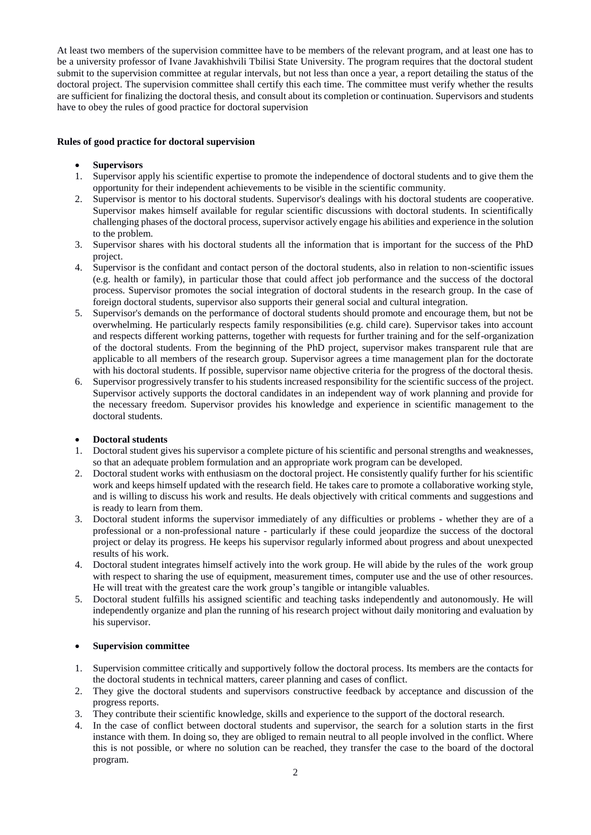At least two members of the supervision committee have to be members of the relevant program, and at least one has to be a university professor of Ivane Javakhishvili Tbilisi State University. The program requires that the doctoral student submit to the supervision committee at regular intervals, but not less than once a year, a report detailing the status of the doctoral project. The supervision committee shall certify this each time. The committee must verify whether the results are sufficient for finalizing the doctoral thesis, and consult about its completion or continuation. Supervisors and students have to obey the rules of good practice for doctoral supervision

## **Rules of good practice for doctoral supervision**

## **Supervisors**

- 1. Supervisor apply his scientific expertise to promote the independence of doctoral students and to give them the opportunity for their independent achievements to be visible in the scientific community.
- 2. Supervisor is mentor to his doctoral students. Supervisor's dealings with his doctoral students are cooperative. Supervisor makes himself available for regular scientific discussions with doctoral students. In scientifically challenging phases of the doctoral process, supervisor actively engage his abilities and experience in the solution to the problem.
- 3. Supervisor shares with his doctoral students all the information that is important for the success of the PhD project.
- 4. Supervisor is the confidant and contact person of the doctoral students, also in relation to non-scientific issues (e.g. health or family), in particular those that could affect job performance and the success of the doctoral process. Supervisor promotes the social integration of doctoral students in the research group. In the case of foreign doctoral students, supervisor also supports their general social and cultural integration.
- 5. Supervisor's demands on the performance of doctoral students should promote and encourage them, but not be overwhelming. He particularly respects family responsibilities (e.g. child care). Supervisor takes into account and respects different working patterns, together with requests for further training and for the self-organization of the doctoral students. From the beginning of the PhD project, supervisor makes transparent rule that are applicable to all members of the research group. Supervisor agrees a time management plan for the doctorate with his doctoral students. If possible, supervisor name objective criteria for the progress of the doctoral thesis.
- 6. Supervisor progressively transfer to his students increased responsibility for the scientific success of the project. Supervisor actively supports the doctoral candidates in an independent way of work planning and provide for the necessary freedom. Supervisor provides his knowledge and experience in scientific management to the doctoral students.

## **Doctoral students**

- 1. Doctoral student gives his supervisor a complete picture of his scientific and personal strengths and weaknesses, so that an adequate problem formulation and an appropriate work program can be developed.
- 2. Doctoral student works with enthusiasm on the doctoral project. He consistently qualify further for his scientific work and keeps himself updated with the research field. He takes care to promote a collaborative working style, and is willing to discuss his work and results. He deals objectively with critical comments and suggestions and is ready to learn from them.
- 3. Doctoral student informs the supervisor immediately of any difficulties or problems whether they are of a professional or a non-professional nature - particularly if these could jeopardize the success of the doctoral project or delay its progress. He keeps his supervisor regularly informed about progress and about unexpected results of his work.
- 4. Doctoral student integrates himself actively into the work group. He will abide by the rules of the work group with respect to sharing the use of equipment, measurement times, computer use and the use of other resources. He will treat with the greatest care the work group's tangible or intangible valuables.
- 5. Doctoral student fulfills his assigned scientific and teaching tasks independently and autonomously. He will independently organize and plan the running of his research project without daily monitoring and evaluation by his supervisor.

## **Supervision committee**

- 1. Supervision committee critically and supportively follow the doctoral process. Its members are the contacts for the doctoral students in technical matters, career planning and cases of conflict.
- 2. They give the doctoral students and supervisors constructive feedback by acceptance and discussion of the progress reports.
- 3. They contribute their scientific knowledge, skills and experience to the support of the doctoral research.
- 4. In the case of conflict between doctoral students and supervisor, the search for a solution starts in the first instance with them. In doing so, they are obliged to remain neutral to all people involved in the conflict. Where this is not possible, or where no solution can be reached, they transfer the case to the board of the doctoral program.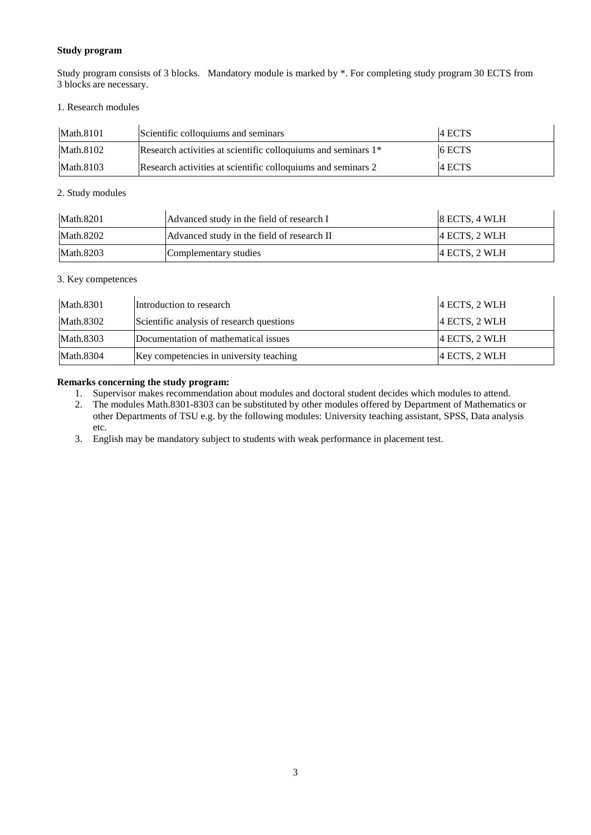# **Study program**

Study program consists of 3 blocks. Mandatory module is marked by \*. For completing study program 30 ECTS from 3 blocks are necessary.

## 1. Research modules

| Math.8101 | Scientific colloquiums and seminars                                       | 14 ECTS  |
|-----------|---------------------------------------------------------------------------|----------|
| Math.8102 | Research activities at scientific colloquiums and seminars 1 <sup>*</sup> | $6$ ECTS |
| Math.8103 | Research activities at scientific colloquiums and seminars 2              | 4 ECTS   |

# 2. Study modules

| Math.8201 | Advanced study in the field of research I  | $ 8$ ECTS, 4 WLH |
|-----------|--------------------------------------------|------------------|
| Math.8202 | Advanced study in the field of research II | $ 4$ ECTS, 2 WLH |
| Math.8203 | Complementary studies                      | $ 4$ ECTS, 2 WLH |

# 3. Key competences

| Math.8301 | Introduction to research                  | $ 4$ ECTS, 2 WLH |
|-----------|-------------------------------------------|------------------|
| Math.8302 | Scientific analysis of research questions | $ 4$ ECTS, 2 WLH |
| Math.8303 | Documentation of mathematical issues      | 4 ECTS, 2 WLH    |
| Math.8304 | Key competencies in university teaching   | $ 4$ ECTS, 2 WLH |

# **Remarks concerning the study program:**

- 1. Supervisor makes recommendation about modules and doctoral student decides which modules to attend.
- 2. The modules Math.8301-8303 can be substituted by other modules offered by Department of Mathematics or other Departments of TSU e.g. by the following modules: University teaching assistant, SPSS, Data analysis etc.
- 3. English may be mandatory subject to students with weak performance in placement test.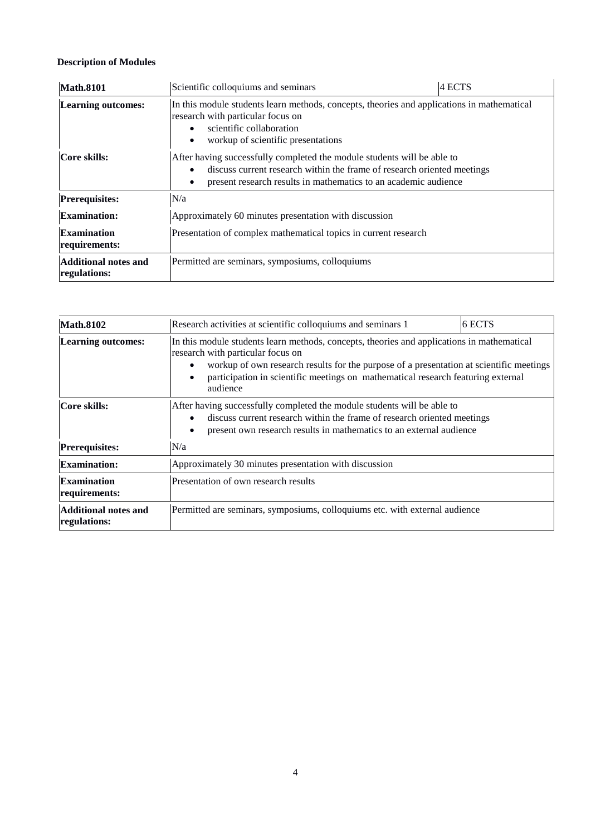# **Description of Modules**

| <b>Math.8101</b>                            | Scientific colloquiums and seminars                                                                                                                                                                                                                                                                                                                                                                                                                  | 4 ECTS |
|---------------------------------------------|------------------------------------------------------------------------------------------------------------------------------------------------------------------------------------------------------------------------------------------------------------------------------------------------------------------------------------------------------------------------------------------------------------------------------------------------------|--------|
| <b>Learning outcomes:</b><br>Core skills:   | In this module students learn methods, concepts, theories and applications in mathematical<br>research with particular focus on<br>scientific collaboration<br>$\bullet$<br>workup of scientific presentations<br>After having successfully completed the module students will be able to<br>discuss current research within the frame of research oriented meetings<br>$\bullet$<br>present research results in mathematics to an academic audience |        |
| <b>Prerequisites:</b>                       | N/a                                                                                                                                                                                                                                                                                                                                                                                                                                                  |        |
| <b>Examination:</b>                         | Approximately 60 minutes presentation with discussion                                                                                                                                                                                                                                                                                                                                                                                                |        |
| <b>Examination</b><br>requirements:         | Presentation of complex mathematical topics in current research                                                                                                                                                                                                                                                                                                                                                                                      |        |
| <b>Additional notes and</b><br>regulations: | Permitted are seminars, symposiums, colloquiums                                                                                                                                                                                                                                                                                                                                                                                                      |        |

| <b>Math.8102</b>                            | Research activities at scientific colloquiums and seminars 1                                                                                                                                                                                                                                                                                                                                                                                                                                                                                                         | 6 ECTS |
|---------------------------------------------|----------------------------------------------------------------------------------------------------------------------------------------------------------------------------------------------------------------------------------------------------------------------------------------------------------------------------------------------------------------------------------------------------------------------------------------------------------------------------------------------------------------------------------------------------------------------|--------|
| Learning outcomes:<br>Core skills:          | In this module students learn methods, concepts, theories and applications in mathematical<br>research with particular focus on<br>workup of own research results for the purpose of a presentation at scientific meetings<br>participation in scientific meetings on mathematical research featuring external<br>$\bullet$<br>audience<br>After having successfully completed the module students will be able to<br>discuss current research within the frame of research oriented meetings<br>present own research results in mathematics to an external audience |        |
| <b>Prerequisites:</b>                       | N/a                                                                                                                                                                                                                                                                                                                                                                                                                                                                                                                                                                  |        |
| <b>Examination:</b>                         | Approximately 30 minutes presentation with discussion                                                                                                                                                                                                                                                                                                                                                                                                                                                                                                                |        |
| <b>Examination</b><br>requirements:         | Presentation of own research results                                                                                                                                                                                                                                                                                                                                                                                                                                                                                                                                 |        |
| <b>Additional notes and</b><br>regulations: | Permitted are seminars, symposiums, colloquiums etc. with external audience                                                                                                                                                                                                                                                                                                                                                                                                                                                                                          |        |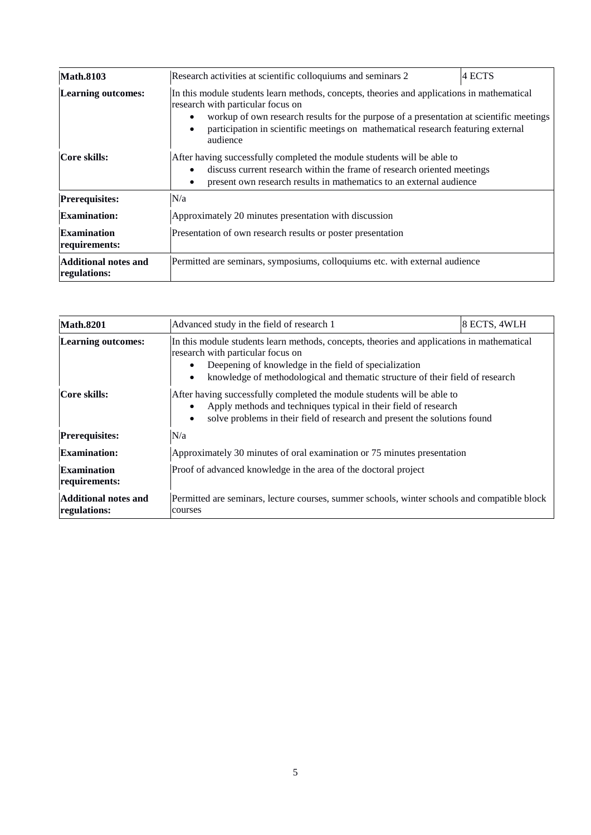| <b>Math.8103</b>                            | 4 ECTS<br>Research activities at scientific colloquiums and seminars 2                                                                                                                                                                                                                                                                  |  |
|---------------------------------------------|-----------------------------------------------------------------------------------------------------------------------------------------------------------------------------------------------------------------------------------------------------------------------------------------------------------------------------------------|--|
| <b>Learning outcomes:</b>                   | In this module students learn methods, concepts, theories and applications in mathematical<br>research with particular focus on<br>workup of own research results for the purpose of a presentation at scientific meetings<br>participation in scientific meetings on mathematical research featuring external<br>$\bullet$<br>audience |  |
| Core skills:                                | After having successfully completed the module students will be able to<br>discuss current research within the frame of research oriented meetings<br>present own research results in mathematics to an external audience<br>٠                                                                                                          |  |
| <b>Prerequisites:</b>                       | N/a                                                                                                                                                                                                                                                                                                                                     |  |
| <b>Examination:</b>                         | Approximately 20 minutes presentation with discussion                                                                                                                                                                                                                                                                                   |  |
| <b>Examination</b><br>requirements:         | Presentation of own research results or poster presentation                                                                                                                                                                                                                                                                             |  |
| <b>Additional notes and</b><br>regulations: | Permitted are seminars, symposiums, colloquiums etc. with external audience                                                                                                                                                                                                                                                             |  |

| <b>Math.8201</b>                            | Advanced study in the field of research 1                                                                                                                                                                                                                                                           | 8 ECTS, 4WLH |
|---------------------------------------------|-----------------------------------------------------------------------------------------------------------------------------------------------------------------------------------------------------------------------------------------------------------------------------------------------------|--------------|
| <b>Learning outcomes:</b>                   | In this module students learn methods, concepts, theories and applications in mathematical<br>research with particular focus on<br>Deepening of knowledge in the field of specialization<br>$\bullet$<br>knowledge of methodological and thematic structure of their field of research<br>$\bullet$ |              |
| Core skills:                                | After having successfully completed the module students will be able to<br>Apply methods and techniques typical in their field of research<br>solve problems in their field of research and present the solutions found<br>$\bullet$                                                                |              |
| <b>Prerequisites:</b>                       | N/a                                                                                                                                                                                                                                                                                                 |              |
| <b>Examination:</b>                         | Approximately 30 minutes of oral examination or 75 minutes presentation                                                                                                                                                                                                                             |              |
| <b>Examination</b><br>requirements:         | Proof of advanced knowledge in the area of the doctoral project                                                                                                                                                                                                                                     |              |
| <b>Additional notes and</b><br>regulations: | Permitted are seminars, lecture courses, summer schools, winter schools and compatible block<br>courses                                                                                                                                                                                             |              |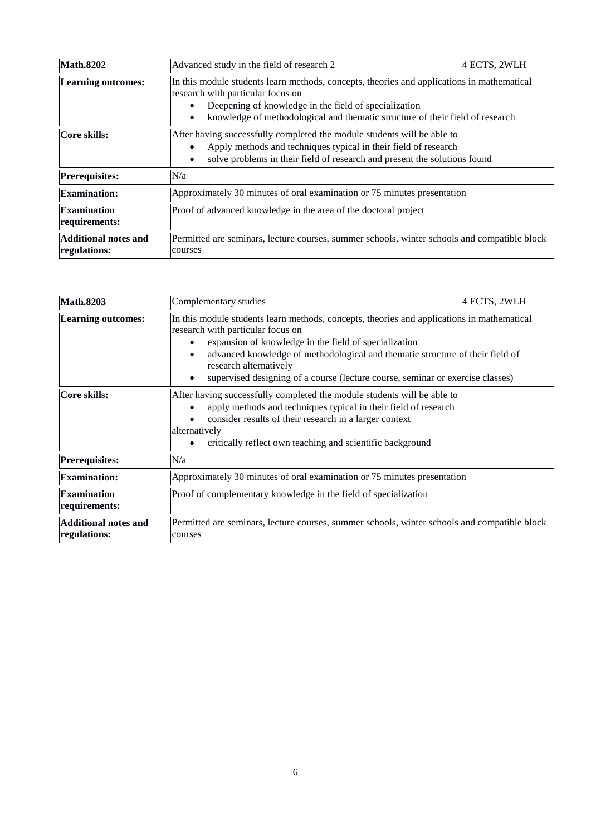| <b>Math.8202</b>                            | Advanced study in the field of research 2                                                                                                                                                                                                                                              | 4 ECTS, 2WLH |
|---------------------------------------------|----------------------------------------------------------------------------------------------------------------------------------------------------------------------------------------------------------------------------------------------------------------------------------------|--------------|
| <b>Learning outcomes:</b>                   | In this module students learn methods, concepts, theories and applications in mathematical<br>research with particular focus on<br>Deepening of knowledge in the field of specialization<br>knowledge of methodological and thematic structure of their field of research<br>$\bullet$ |              |
| Core skills:                                | After having successfully completed the module students will be able to<br>Apply methods and techniques typical in their field of research<br>solve problems in their field of research and present the solutions found<br>$\bullet$                                                   |              |
| <b>Prerequisites:</b>                       | N/a                                                                                                                                                                                                                                                                                    |              |
| <b>Examination:</b>                         | Approximately 30 minutes of oral examination or 75 minutes presentation                                                                                                                                                                                                                |              |
| <b>Examination</b><br>requirements:         | Proof of advanced knowledge in the area of the doctoral project                                                                                                                                                                                                                        |              |
| <b>Additional notes and</b><br>regulations: | Permitted are seminars, lecture courses, summer schools, winter schools and compatible block<br>courses                                                                                                                                                                                |              |

| <b>Math.8203</b>                            | Complementary studies                                                                                                                                                                                                                                                                                                                                                                                                | 4 ECTS, 2WLH |
|---------------------------------------------|----------------------------------------------------------------------------------------------------------------------------------------------------------------------------------------------------------------------------------------------------------------------------------------------------------------------------------------------------------------------------------------------------------------------|--------------|
| <b>Learning outcomes:</b>                   | In this module students learn methods, concepts, theories and applications in mathematical<br>research with particular focus on<br>expansion of knowledge in the field of specialization<br>$\bullet$<br>advanced knowledge of methodological and thematic structure of their field of<br>$\bullet$<br>research alternatively<br>supervised designing of a course (lecture course, seminar or exercise classes)<br>٠ |              |
| Core skills:                                | After having successfully completed the module students will be able to<br>apply methods and techniques typical in their field of research<br>$\bullet$<br>consider results of their research in a larger context<br>alternatively<br>critically reflect own teaching and scientific background<br>٠                                                                                                                 |              |
| <b>Prerequisites:</b>                       | N/a                                                                                                                                                                                                                                                                                                                                                                                                                  |              |
| <b>Examination:</b>                         | Approximately 30 minutes of oral examination or 75 minutes presentation                                                                                                                                                                                                                                                                                                                                              |              |
| <b>Examination</b><br>requirements:         | Proof of complementary knowledge in the field of specialization                                                                                                                                                                                                                                                                                                                                                      |              |
| <b>Additional notes and</b><br>regulations: | Permitted are seminars, lecture courses, summer schools, winter schools and compatible block<br>courses                                                                                                                                                                                                                                                                                                              |              |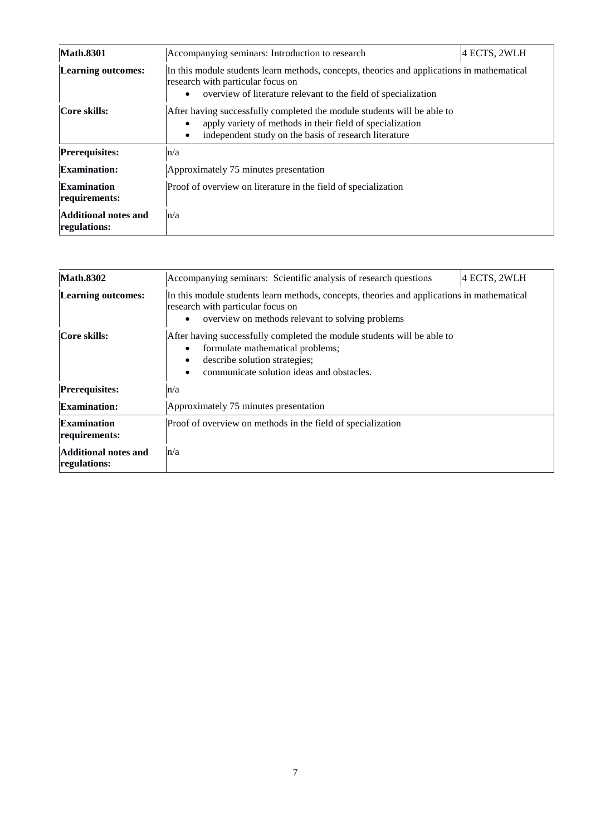| <b>Math.8301</b>                            | Accompanying seminars: Introduction to research                                                                                                                                                                         | 4 ECTS, 2WLH |
|---------------------------------------------|-------------------------------------------------------------------------------------------------------------------------------------------------------------------------------------------------------------------------|--------------|
| <b>Learning outcomes:</b>                   | In this module students learn methods, concepts, theories and applications in mathematical<br>research with particular focus on<br>overview of literature relevant to the field of specialization<br>$\bullet$          |              |
| Core skills:                                | After having successfully completed the module students will be able to<br>apply variety of methods in their field of specialization<br>$\bullet$<br>independent study on the basis of research literature<br>$\bullet$ |              |
| <b>Prerequisites:</b>                       | n/a                                                                                                                                                                                                                     |              |
| <b>Examination:</b>                         | Approximately 75 minutes presentation                                                                                                                                                                                   |              |
| <b>Examination</b><br>requirements:         | Proof of overview on literature in the field of specialization                                                                                                                                                          |              |
| <b>Additional notes and</b><br>regulations: | n/a                                                                                                                                                                                                                     |              |

| <b>Math.8302</b>                            | Accompanying seminars: Scientific analysis of research questions                                                                                                                                 | 4 ECTS, 2WLH |
|---------------------------------------------|--------------------------------------------------------------------------------------------------------------------------------------------------------------------------------------------------|--------------|
| <b>Learning outcomes:</b>                   | In this module students learn methods, concepts, theories and applications in mathematical<br>research with particular focus on<br>overview on methods relevant to solving problems<br>$\bullet$ |              |
| Core skills:                                | After having successfully completed the module students will be able to<br>formulate mathematical problems;<br>describe solution strategies;<br>communicate solution ideas and obstacles.        |              |
| <b>Prerequisites:</b>                       | n/a                                                                                                                                                                                              |              |
| <b>Examination:</b>                         | Approximately 75 minutes presentation                                                                                                                                                            |              |
| Examination<br>requirements:                | Proof of overview on methods in the field of specialization                                                                                                                                      |              |
| <b>Additional notes and</b><br>regulations: | n/a                                                                                                                                                                                              |              |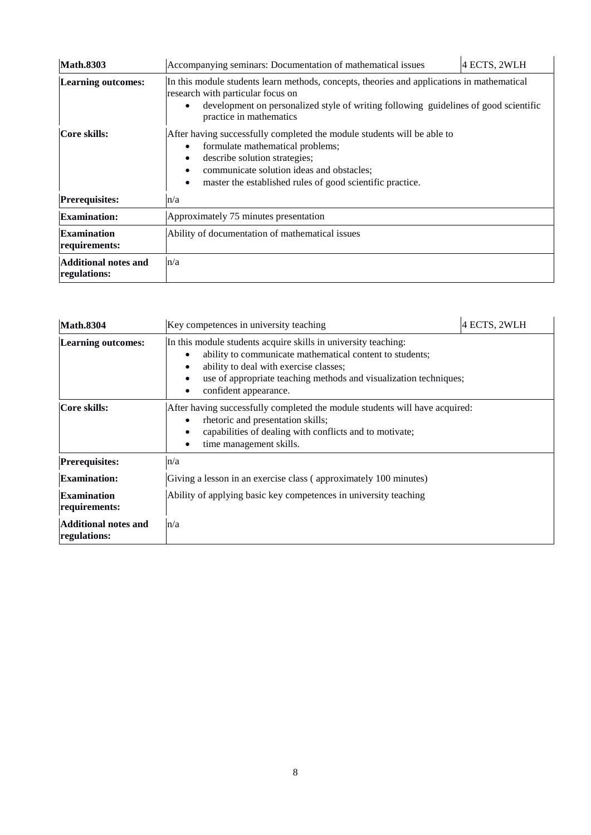| <b>Math.8303</b>                            | Accompanying seminars: Documentation of mathematical issues                                                                                                                                                                                                                                        | 4 ECTS, 2WLH |
|---------------------------------------------|----------------------------------------------------------------------------------------------------------------------------------------------------------------------------------------------------------------------------------------------------------------------------------------------------|--------------|
| <b>Learning outcomes:</b>                   | In this module students learn methods, concepts, theories and applications in mathematical<br>research with particular focus on<br>development on personalized style of writing following guidelines of good scientific<br>$\bullet$<br>practice in mathematics                                    |              |
| Core skills:                                | After having successfully completed the module students will be able to<br>formulate mathematical problems;<br>٠<br>describe solution strategies;<br>$\bullet$<br>communicate solution ideas and obstacles;<br>$\bullet$<br>master the established rules of good scientific practice.<br>$\bullet$ |              |
| <b>Prerequisites:</b>                       | n/a                                                                                                                                                                                                                                                                                                |              |
| <b>Examination:</b>                         | Approximately 75 minutes presentation                                                                                                                                                                                                                                                              |              |
| <b>Examination</b><br>requirements:         | Ability of documentation of mathematical issues                                                                                                                                                                                                                                                    |              |
| <b>Additional notes and</b><br>regulations: | n/a                                                                                                                                                                                                                                                                                                |              |

| <b>Math.8304</b>                            | Key competences in university teaching                                                                                                                                                                                                                                               | 4 ECTS, 2WLH |
|---------------------------------------------|--------------------------------------------------------------------------------------------------------------------------------------------------------------------------------------------------------------------------------------------------------------------------------------|--------------|
| <b>Learning outcomes:</b>                   | In this module students acquire skills in university teaching:<br>ability to communicate mathematical content to students;<br>$\bullet$<br>ability to deal with exercise classes;<br>٠<br>use of appropriate teaching methods and visualization techniques;<br>confident appearance. |              |
| Core skills:                                | After having successfully completed the module students will have acquired:<br>rhetoric and presentation skills;<br>٠<br>capabilities of dealing with conflicts and to motivate;<br>time management skills.                                                                          |              |
| <b>Prerequisites:</b>                       | n/a                                                                                                                                                                                                                                                                                  |              |
| <b>Examination:</b>                         | Giving a lesson in an exercise class (approximately 100 minutes)                                                                                                                                                                                                                     |              |
| <b>Examination</b><br>requirements:         | Ability of applying basic key competences in university teaching                                                                                                                                                                                                                     |              |
| <b>Additional notes and</b><br>regulations: | n/a                                                                                                                                                                                                                                                                                  |              |